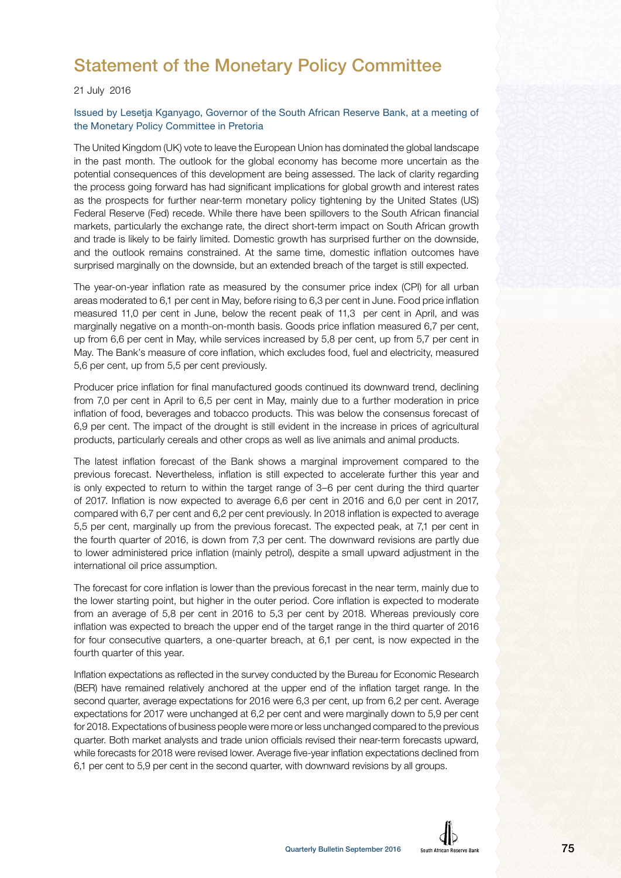# Statement of the Monetary Policy Committee

#### 21 July 2016

#### Issued by Lesetja Kganyago, Governor of the South African Reserve Bank, at a meeting of the Monetary Policy Committee in Pretoria

The United Kingdom (UK) vote to leave the European Union has dominated the global landscape in the past month. The outlook for the global economy has become more uncertain as the potential consequences of this development are being assessed. The lack of clarity regarding the process going forward has had significant implications for global growth and interest rates as the prospects for further near-term monetary policy tightening by the United States (US) Federal Reserve (Fed) recede. While there have been spillovers to the South African financial markets, particularly the exchange rate, the direct short-term impact on South African growth and trade is likely to be fairly limited. Domestic growth has surprised further on the downside, and the outlook remains constrained. At the same time, domestic inflation outcomes have surprised marginally on the downside, but an extended breach of the target is still expected.

The year-on-year inflation rate as measured by the consumer price index (CPI) for all urban areas moderated to 6,1 per cent in May, before rising to 6,3 per cent in June. Food price inflation measured 11,0 per cent in June, below the recent peak of 11,3 per cent in April, and was marginally negative on a month-on-month basis. Goods price inflation measured 6,7 per cent, up from 6,6 per cent in May, while services increased by 5,8 per cent, up from 5,7 per cent in May. The Bank's measure of core inflation, which excludes food, fuel and electricity, measured 5,6 per cent, up from 5,5 per cent previously.

Producer price inflation for final manufactured goods continued its downward trend, declining from 7,0 per cent in April to 6,5 per cent in May, mainly due to a further moderation in price inflation of food, beverages and tobacco products. This was below the consensus forecast of 6,9 per cent. The impact of the drought is still evident in the increase in prices of agricultural products, particularly cereals and other crops as well as live animals and animal products.

The latest inflation forecast of the Bank shows a marginal improvement compared to the previous forecast. Nevertheless, inflation is still expected to accelerate further this year and is only expected to return to within the target range of 3–6 per cent during the third quarter of 2017. Inflation is now expected to average 6,6 per cent in 2016 and 6,0 per cent in 2017, compared with 6,7 per cent and 6,2 per cent previously. In 2018 inflation is expected to average 5,5 per cent, marginally up from the previous forecast. The expected peak, at 7,1 per cent in the fourth quarter of 2016, is down from 7,3 per cent. The downward revisions are partly due to lower administered price inflation (mainly petrol), despite a small upward adjustment in the international oil price assumption.

The forecast for core inflation is lower than the previous forecast in the near term, mainly due to the lower starting point, but higher in the outer period. Core inflation is expected to moderate from an average of 5,8 per cent in 2016 to 5,3 per cent by 2018. Whereas previously core inflation was expected to breach the upper end of the target range in the third quarter of 2016 for four consecutive quarters, a one-quarter breach, at 6,1 per cent, is now expected in the fourth quarter of this year.

Inflation expectations as reflected in the survey conducted by the Bureau for Economic Research (BER) have remained relatively anchored at the upper end of the inflation target range. In the second quarter, average expectations for 2016 were 6,3 per cent, up from 6,2 per cent. Average expectations for 2017 were unchanged at 6,2 per cent and were marginally down to 5,9 per cent for 2018. Expectations of business people were more or less unchanged compared to the previous quarter. Both market analysts and trade union officials revised their near-term forecasts upward, while forecasts for 2018 were revised lower. Average five-year inflation expectations declined from 6,1 per cent to 5,9 per cent in the second quarter, with downward revisions by all groups.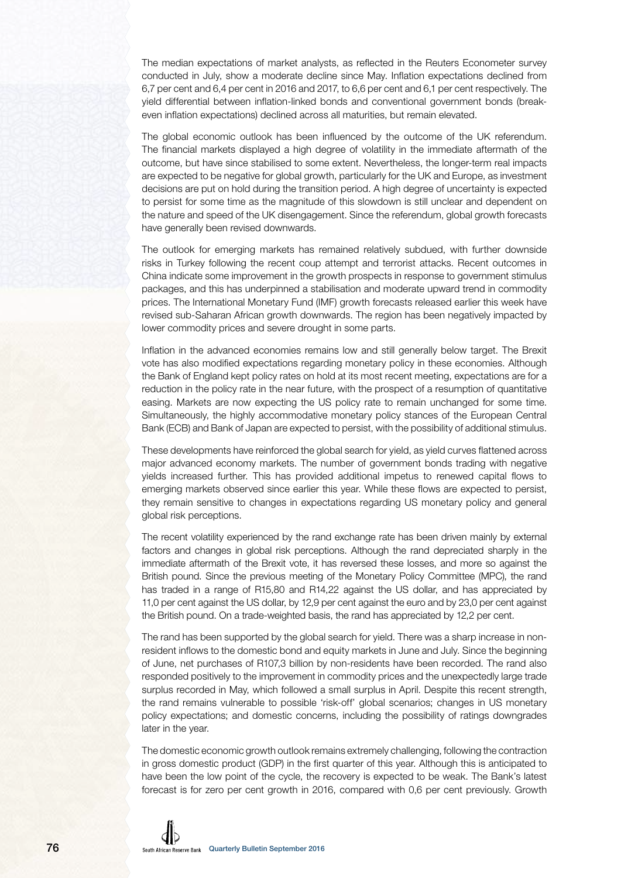The median expectations of market analysts, as reflected in the Reuters Econometer survey conducted in July, show a moderate decline since May. Inflation expectations declined from 6,7 per cent and 6,4 per cent in 2016 and 2017, to 6,6 per cent and 6,1 per cent respectively. The yield differential between inflation-linked bonds and conventional government bonds (breakeven inflation expectations) declined across all maturities, but remain elevated.

The global economic outlook has been influenced by the outcome of the UK referendum. The financial markets displayed a high degree of volatility in the immediate aftermath of the outcome, but have since stabilised to some extent. Nevertheless, the longer-term real impacts are expected to be negative for global growth, particularly for the UK and Europe, as investment decisions are put on hold during the transition period. A high degree of uncertainty is expected to persist for some time as the magnitude of this slowdown is still unclear and dependent on the nature and speed of the UK disengagement. Since the referendum, global growth forecasts have generally been revised downwards.

The outlook for emerging markets has remained relatively subdued, with further downside risks in Turkey following the recent coup attempt and terrorist attacks. Recent outcomes in China indicate some improvement in the growth prospects in response to government stimulus packages, and this has underpinned a stabilisation and moderate upward trend in commodity prices. The International Monetary Fund (IMF) growth forecasts released earlier this week have revised sub-Saharan African growth downwards. The region has been negatively impacted by lower commodity prices and severe drought in some parts.

Inflation in the advanced economies remains low and still generally below target. The Brexit vote has also modified expectations regarding monetary policy in these economies. Although the Bank of England kept policy rates on hold at its most recent meeting, expectations are for a reduction in the policy rate in the near future, with the prospect of a resumption of quantitative easing. Markets are now expecting the US policy rate to remain unchanged for some time. Simultaneously, the highly accommodative monetary policy stances of the European Central Bank (ECB) and Bank of Japan are expected to persist, with the possibility of additional stimulus.

These developments have reinforced the global search for yield, as yield curves flattened across major advanced economy markets. The number of government bonds trading with negative yields increased further. This has provided additional impetus to renewed capital flows to emerging markets observed since earlier this year. While these flows are expected to persist, they remain sensitive to changes in expectations regarding US monetary policy and general global risk perceptions.

The recent volatility experienced by the rand exchange rate has been driven mainly by external factors and changes in global risk perceptions. Although the rand depreciated sharply in the immediate aftermath of the Brexit vote, it has reversed these losses, and more so against the British pound. Since the previous meeting of the Monetary Policy Committee (MPC), the rand has traded in a range of R15,80 and R14,22 against the US dollar, and has appreciated by 11,0 per cent against the US dollar, by 12,9 per cent against the euro and by 23,0 per cent against the British pound. On a trade-weighted basis, the rand has appreciated by 12,2 per cent.

The rand has been supported by the global search for yield. There was a sharp increase in nonresident inflows to the domestic bond and equity markets in June and July. Since the beginning of June, net purchases of R107,3 billion by non-residents have been recorded. The rand also responded positively to the improvement in commodity prices and the unexpectedly large trade surplus recorded in May, which followed a small surplus in April. Despite this recent strength, the rand remains vulnerable to possible 'risk-off' global scenarios; changes in US monetary policy expectations; and domestic concerns, including the possibility of ratings downgrades later in the year.

The domestic economic growth outlook remains extremely challenging, following the contraction in gross domestic product (GDP) in the first quarter of this year. Although this is anticipated to have been the low point of the cycle, the recovery is expected to be weak. The Bank's latest forecast is for zero per cent growth in 2016, compared with 0,6 per cent previously. Growth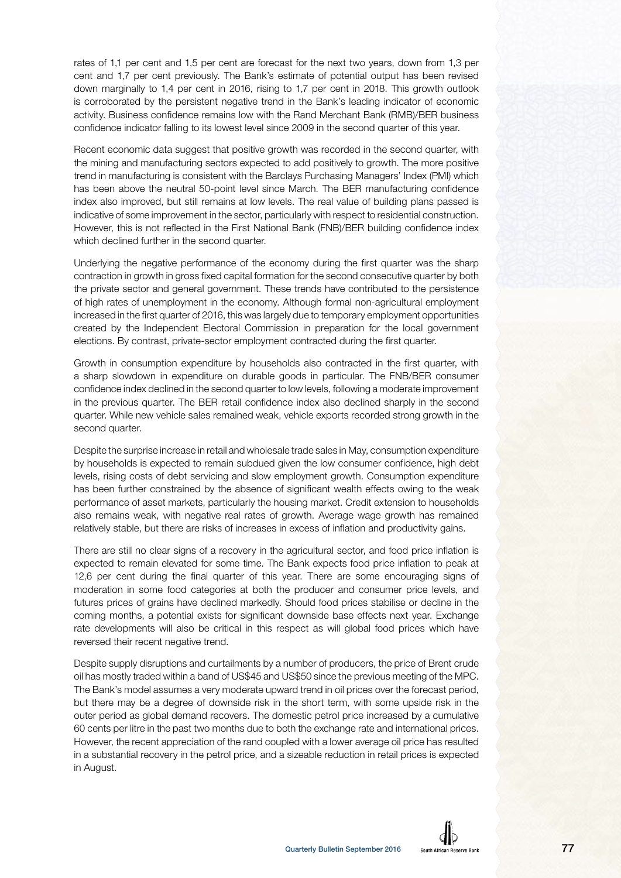rates of 1,1 per cent and 1,5 per cent are forecast for the next two years, down from 1,3 per cent and 1,7 per cent previously. The Bank's estimate of potential output has been revised down marginally to 1,4 per cent in 2016, rising to 1,7 per cent in 2018. This growth outlook is corroborated by the persistent negative trend in the Bank's leading indicator of economic activity. Business confidence remains low with the Rand Merchant Bank (RMB)/BER business confidence indicator falling to its lowest level since 2009 in the second quarter of this year.

Recent economic data suggest that positive growth was recorded in the second quarter, with the mining and manufacturing sectors expected to add positively to growth. The more positive trend in manufacturing is consistent with the Barclays Purchasing Managers' Index (PMI) which has been above the neutral 50-point level since March. The BER manufacturing confidence index also improved, but still remains at low levels. The real value of building plans passed is indicative of some improvement in the sector, particularly with respect to residential construction. However, this is not reflected in the First National Bank (FNB)/BER building confidence index which declined further in the second quarter.

Underlying the negative performance of the economy during the first quarter was the sharp contraction in growth in gross fixed capital formation for the second consecutive quarter by both the private sector and general government. These trends have contributed to the persistence of high rates of unemployment in the economy. Although formal non-agricultural employment increased in the first quarter of 2016, this was largely due to temporary employment opportunities created by the Independent Electoral Commission in preparation for the local government elections. By contrast, private-sector employment contracted during the first quarter.

Growth in consumption expenditure by households also contracted in the first quarter, with a sharp slowdown in expenditure on durable goods in particular. The FNB/BER consumer confidence index declined in the second quarter to low levels, following a moderate improvement in the previous quarter. The BER retail confidence index also declined sharply in the second quarter. While new vehicle sales remained weak, vehicle exports recorded strong growth in the second quarter.

Despite the surprise increase in retail and wholesale trade sales in May, consumption expenditure by households is expected to remain subdued given the low consumer confidence, high debt levels, rising costs of debt servicing and slow employment growth. Consumption expenditure has been further constrained by the absence of significant wealth effects owing to the weak performance of asset markets, particularly the housing market. Credit extension to households also remains weak, with negative real rates of growth. Average wage growth has remained relatively stable, but there are risks of increases in excess of inflation and productivity gains.

There are still no clear signs of a recovery in the agricultural sector, and food price inflation is expected to remain elevated for some time. The Bank expects food price inflation to peak at 12,6 per cent during the final quarter of this year. There are some encouraging signs of moderation in some food categories at both the producer and consumer price levels, and futures prices of grains have declined markedly. Should food prices stabilise or decline in the coming months, a potential exists for significant downside base effects next year. Exchange rate developments will also be critical in this respect as will global food prices which have reversed their recent negative trend.

Despite supply disruptions and curtailments by a number of producers, the price of Brent crude oil has mostly traded within a band of US\$45 and US\$50 since the previous meeting of the MPC. The Bank's model assumes a very moderate upward trend in oil prices over the forecast period, but there may be a degree of downside risk in the short term, with some upside risk in the outer period as global demand recovers. The domestic petrol price increased by a cumulative 60 cents per litre in the past two months due to both the exchange rate and international prices. However, the recent appreciation of the rand coupled with a lower average oil price has resulted in a substantial recovery in the petrol price, and a sizeable reduction in retail prices is expected in August.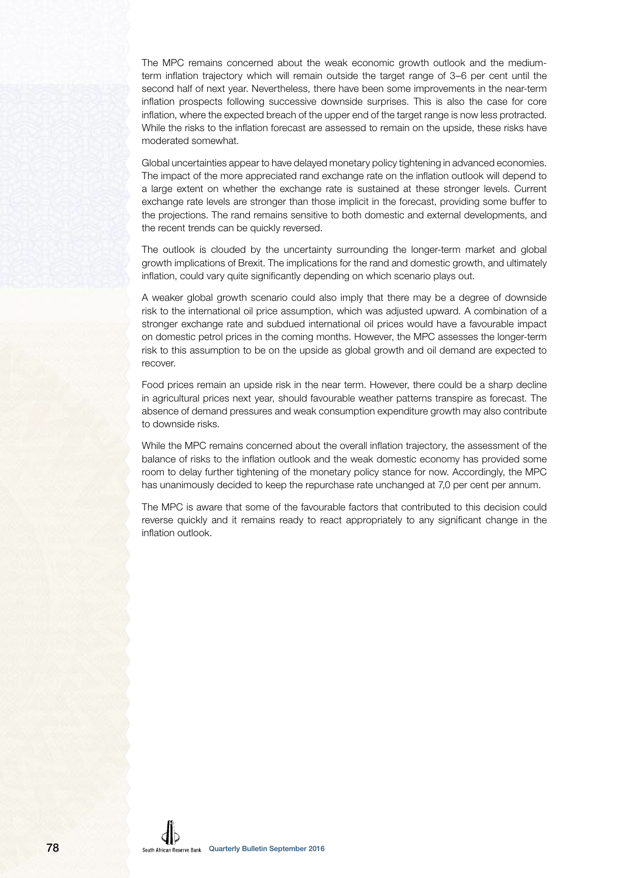The MPC remains concerned about the weak economic growth outlook and the mediumterm inflation trajectory which will remain outside the target range of 3–6 per cent until the second half of next year. Nevertheless, there have been some improvements in the near-term inflation prospects following successive downside surprises. This is also the case for core inflation, where the expected breach of the upper end of the target range is now less protracted. While the risks to the inflation forecast are assessed to remain on the upside, these risks have moderated somewhat.

Global uncertainties appear to have delayed monetary policy tightening in advanced economies. The impact of the more appreciated rand exchange rate on the inflation outlook will depend to a large extent on whether the exchange rate is sustained at these stronger levels. Current exchange rate levels are stronger than those implicit in the forecast, providing some buffer to the projections. The rand remains sensitive to both domestic and external developments, and the recent trends can be quickly reversed.

The outlook is clouded by the uncertainty surrounding the longer-term market and global growth implications of Brexit. The implications for the rand and domestic growth, and ultimately inflation, could vary quite significantly depending on which scenario plays out.

A weaker global growth scenario could also imply that there may be a degree of downside risk to the international oil price assumption, which was adjusted upward. A combination of a stronger exchange rate and subdued international oil prices would have a favourable impact on domestic petrol prices in the coming months. However, the MPC assesses the longer-term risk to this assumption to be on the upside as global growth and oil demand are expected to recover.

Food prices remain an upside risk in the near term. However, there could be a sharp decline in agricultural prices next year, should favourable weather patterns transpire as forecast. The absence of demand pressures and weak consumption expenditure growth may also contribute to downside risks.

While the MPC remains concerned about the overall inflation trajectory, the assessment of the balance of risks to the inflation outlook and the weak domestic economy has provided some room to delay further tightening of the monetary policy stance for now. Accordingly, the MPC has unanimously decided to keep the repurchase rate unchanged at 7,0 per cent per annum.

The MPC is aware that some of the favourable factors that contributed to this decision could reverse quickly and it remains ready to react appropriately to any significant change in the inflation outlook.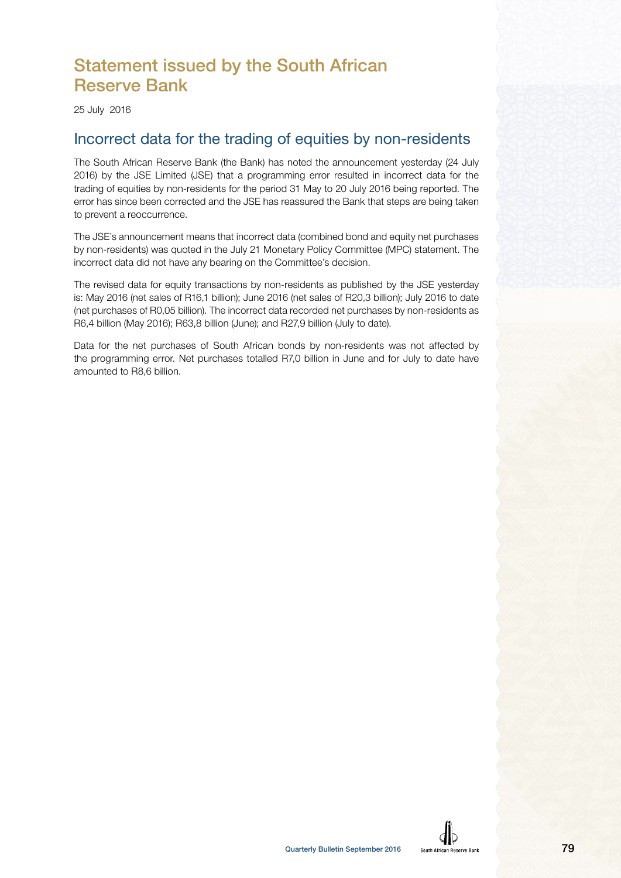# Statement issued by the South African Reserve Bank

25 July 2016

## Incorrect data for the trading of equities by non-residents

The South African Reserve Bank (the Bank) has noted the announcement yesterday (24 July 2016) by the JSE Limited (JSE) that a programming error resulted in incorrect data for the trading of equities by non-residents for the period 31 May to 20 July 2016 being reported. The error has since been corrected and the JSE has reassured the Bank that steps are being taken to prevent a reoccurrence.

The JSE's announcement means that incorrect data (combined bond and equity net purchases by non-residents) was quoted in the July 21 Monetary Policy Committee (MPC) statement. The incorrect data did not have any bearing on the Committee's decision.

The revised data for equity transactions by non-residents as published by the JSE yesterday is: May 2016 (net sales of R16,1 billion); June 2016 (net sales of R20,3 billion); July 2016 to date (net purchases of R0,05 billion). The incorrect data recorded net purchases by non-residents as R6,4 billion (May 2016); R63,8 billion (June); and R27,9 billion (July to date).

Data for the net purchases of South African bonds by non-residents was not affected by the programming error. Net purchases totalled R7,0 billion in June and for July to date have amounted to R8,6 billion.

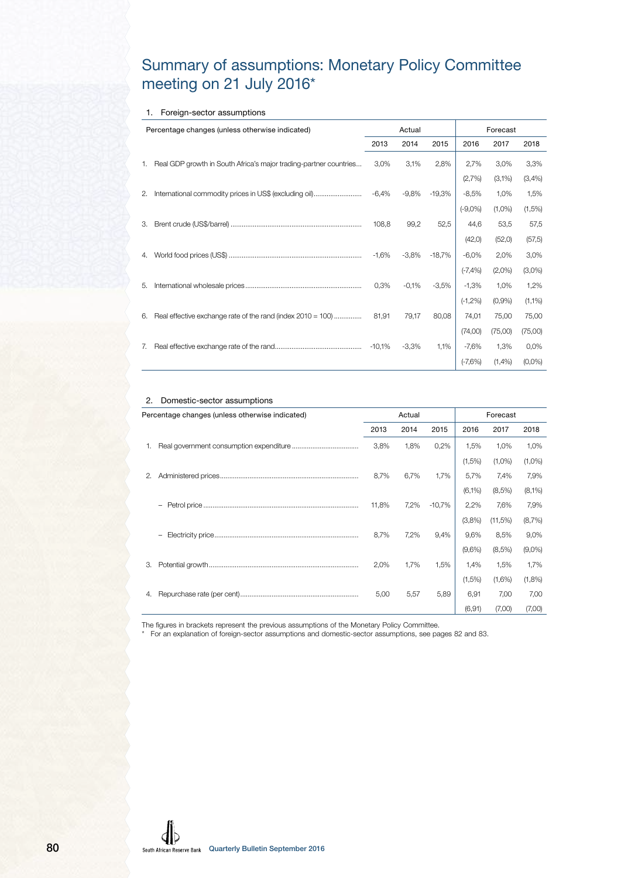## Summary of assumptions: Monetary Policy Committee meeting on 21 July 2016\*

#### 1. Foreign-sector assumptions

|    | Percentage changes (unless otherwise indicated)                   |         | Actual  |                    |                                    | Forecast             |           |
|----|-------------------------------------------------------------------|---------|---------|--------------------|------------------------------------|----------------------|-----------|
|    |                                                                   | 2013    | 2014    | 2015               | 2016                               | 2017                 | 2018      |
| 1. | Real GDP growth in South Africa's major trading-partner countries | 3,0%    | 3,1%    | 2,8%               | 2,7%                               | 3,0%                 | 3,3%      |
|    |                                                                   |         |         |                    | (2,7%)                             | (3,1%)               | (3,4% )   |
| 2. | International commodity prices in US\$ (excluding oil)            | $-6,4%$ |         | $-9,8\%$ $-19,3\%$ |                                    | $-8,5\%$ 1,0%        | 1,5%      |
|    |                                                                   |         |         |                    | $(-9,0\%)$                         | $(1,0\%)$            | $(1,5\%)$ |
| 3. |                                                                   | 108,8   | 99,2    | 52,5               |                                    | 44,6 53,5            | 57,5      |
|    |                                                                   |         |         |                    | (42, 0)                            | (52,0)               | (57, 5)   |
| 4. |                                                                   | -1,6%   |         |                    | $-3,8\%$ $-18,7\%$ $-6,0\%$ 2,0%   |                      | 3,0%      |
|    |                                                                   |         |         |                    |                                    | $(-7,4\%)$ $(2,0\%)$ | $(3,0\%)$ |
| 5. |                                                                   | 0,3%    |         |                    | $-0.1\%$ $-3.5\%$ $-1.3\%$ $1.0\%$ |                      | 1,2%      |
|    |                                                                   |         |         |                    | $(-1,2%)$                          | (0,9%                | $(1,1\%)$ |
| 6. | Real effective exchange rate of the rand (index 2010 = 100)       | 81,91   | 79,17   | 80,08              | 74,01                              | 75,00                | 75,00     |
|    |                                                                   |         |         |                    | (74,00)                            | (75,00)              | (75,00)   |
| 7. |                                                                   | -10,1%  | $-3,3%$ | $1,1\%$            | -7,6% 1,3%                         |                      | 0,0%      |
|    |                                                                   |         |         |                    | $(-7,6%)$                          | (1,4% )              | $(0,0\%)$ |

#### 2. Domestic-sector assumptions

|    | Percentage changes (unless otherwise indicated) |       | Actual |          |           | Forecast  |           |
|----|-------------------------------------------------|-------|--------|----------|-----------|-----------|-----------|
|    |                                                 | 2013  | 2014   | 2015     | 2016      | 2017      | 2018      |
| 1. |                                                 | 3,8%  | 1,8%   | 0,2%     | 1,5%      | 1,0%      | 1,0%      |
|    |                                                 |       |        |          | (1,5%)    | $(1,0\%)$ | $(1,0\%)$ |
| 2. |                                                 | 8,7%  | 6,7%   | 1,7%     | 5,7%      | 7,4%      | 7,9%      |
|    |                                                 |       |        |          | $(6,1\%)$ | (8,5%)    | $(8,1\%)$ |
|    | $\overline{\phantom{0}}$                        | 11,8% | 7,2%   | $-10,7%$ | 2,2%      | 7,6%      | 7,9%      |
|    |                                                 |       |        |          | (3,8%)    | (11,5%)   | (8,7%)    |
|    | $\overline{\phantom{0}}$                        | 8,7%  | 7,2%   | 9,4%     | 9,6%      | 8,5%      | 9,0%      |
|    |                                                 |       |        |          | $(9,6\%)$ | (8,5%)    | $(9,0\%)$ |
| 3. |                                                 | 2,0%  | 1,7%   | 1,5%     | 1,4%      | 1,5%      | 1,7%      |
|    |                                                 |       |        |          | $(1,5\%)$ | (1,6%)    | (1,8%)    |
| 4. |                                                 | 5,00  | 5,57   | 5,89     | 6,91      | 7,00      | 7,00      |
|    |                                                 |       |        |          | (6, 91)   | (7,00)    | (7,00)    |

The figures in brackets represent the previous assumptions of the Monetary Policy Committee.

\* For an explanation of foreign-sector assumptions and domestic-sector assumptions, see pages 82 and 83.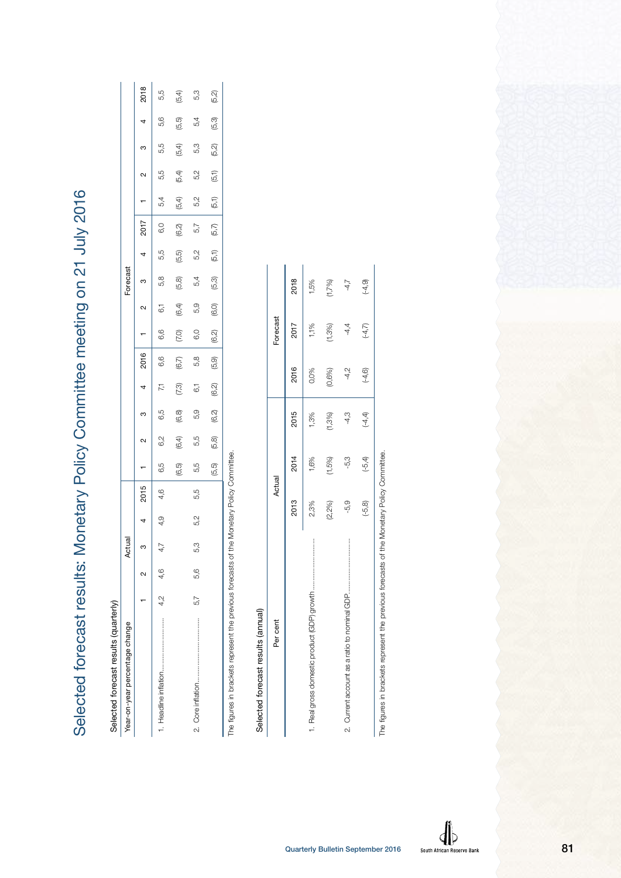Selected forecast results: Monetary Policy Committee meeting on 21 July 2016 Selected forecast results: Monetary Policy Committee meeting on 21 July 2016

| ļ           |
|-------------|
| ļ<br>í<br>j |
|             |

| Year-on-year percentage change                                    |     |         | Actual   |     |                            |       |       |        |                |       |       |                | Forecast |       |       |       |        |       |       |       |
|-------------------------------------------------------------------|-----|---------|----------|-----|----------------------------|-------|-------|--------|----------------|-------|-------|----------------|----------|-------|-------|-------|--------|-------|-------|-------|
|                                                                   |     |         |          |     | 2015                       |       | 2     | ო      |                | 2016  |       | N              | ო        | 4     | 2017  |       | N      | ო     | 4     | 2018  |
|                                                                   |     | 4,2 4,6 | 47<br>47 | 4,9 | 4,6                        | 6,5   | 6,2   | 6,5    | 77             | 6,6   | 6,6   | $\overline{6}$ | 5,8      | 5,5   | 6,0   | 5,4   | 5,5    | 5,5   | 5,6   | 5,5   |
|                                                                   |     |         |          |     |                            | (6,5) | (6.4) | (6, 8) | (7,3)          | (6,7) | 7,0)  | (6, 4)         | (5,8)    | (5,5) | (6,2) | (5,4) | (5, 4) | (5,4) | (5,5) | (5,4) |
|                                                                   | 5,7 | 5.6     | 53       | 5,2 | 5,5                        | 5,5   | 5,5   | 5,9    | $\overline{6}$ | 5,8   | 6,0   | 5,9            | 54       | 5,2   | 5,7   | 5,2   | 5,2    | 5,3   | 5,4   | 5,3   |
|                                                                   |     |         |          |     |                            | (5.5) | (5,8) | (6,2)  | (6,2)          | (5,9) | (6,2) | (6,0)          | (5.3)    | (5,1) | (5,7) | (5,1) | (5,1)  | (5,2) | (5,3) | (5,2) |
| The figures in brackets represent the previous forecasts of the I |     |         |          |     | Aonetary Policy Committee. |       |       |        |                |       |       |                |          |       |       |       |        |       |       |       |

ITTILL<del>US</del>. The figures in brackets represent the previous forecasts of the Monetary Policy Committee.ξ  $rac{3}{5}$  $\overline{c}$ 5

# Selected forecast results (annual) Selected forecast results (annual)

| Per cent                                                                                   | Actual    |           |           |               | Forecast |           |
|--------------------------------------------------------------------------------------------|-----------|-----------|-----------|---------------|----------|-----------|
|                                                                                            | 2013      | 2014      | 2015      | 2016          | 2017     | 2018      |
|                                                                                            | 2,3%      | 1.6%      | 1,3%      | 0,0%          | $1,1\%$  | 1,5%      |
|                                                                                            | (2,2%)    | 1,5%)     | $(1,3\%)$ | 0,6%)         | (1,3%)   | (1,7%)    |
|                                                                                            | -5,9      | ကို       | ণ<br>ব    | $\frac{2}{3}$ | 4.4      |           |
|                                                                                            | $(-5, 8)$ | $(-5, 4)$ | $(-4, 4)$ | $(-4, 6)$     | $(-4,7)$ | $(-4, 9)$ |
| The figures in brackets represent the previous forecasts of the Monetary Policy Committee. |           |           |           |               |          |           |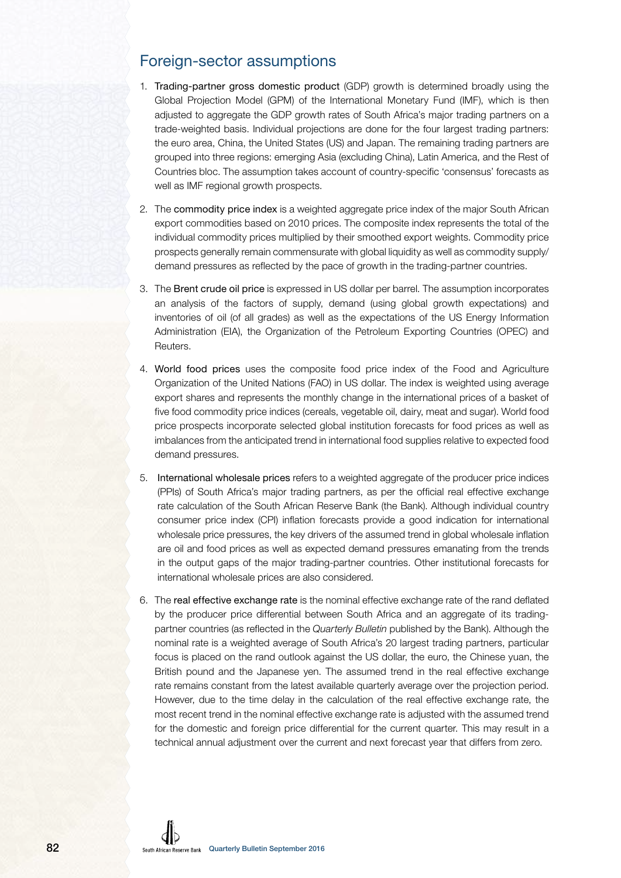### Foreign-sector assumptions

- 1. Trading-partner gross domestic product (GDP) growth is determined broadly using the Global Projection Model (GPM) of the International Monetary Fund (IMF), which is then adjusted to aggregate the GDP growth rates of South Africa's major trading partners on a trade-weighted basis. Individual projections are done for the four largest trading partners: the euro area, China, the United States (US) and Japan. The remaining trading partners are grouped into three regions: emerging Asia (excluding China), Latin America, and the Rest of Countries bloc. The assumption takes account of country-specific 'consensus' forecasts as well as IMF regional growth prospects.
- 2. The commodity price index is a weighted aggregate price index of the major South African export commodities based on 2010 prices. The composite index represents the total of the individual commodity prices multiplied by their smoothed export weights. Commodity price prospects generally remain commensurate with global liquidity as well as commodity supply/ demand pressures as reflected by the pace of growth in the trading-partner countries.
- 3. The Brent crude oil price is expressed in US dollar per barrel. The assumption incorporates an analysis of the factors of supply, demand (using global growth expectations) and inventories of oil (of all grades) as well as the expectations of the US Energy Information Administration (EIA), the Organization of the Petroleum Exporting Countries (OPEC) and Reuters.
- 4. World food prices uses the composite food price index of the Food and Agriculture Organization of the United Nations (FAO) in US dollar. The index is weighted using average export shares and represents the monthly change in the international prices of a basket of five food commodity price indices (cereals, vegetable oil, dairy, meat and sugar). World food price prospects incorporate selected global institution forecasts for food prices as well as imbalances from the anticipated trend in international food supplies relative to expected food demand pressures.
- 5. International wholesale prices refers to a weighted aggregate of the producer price indices (PPIs) of South Africa's major trading partners, as per the official real effective exchange rate calculation of the South African Reserve Bank (the Bank). Although individual country consumer price index (CPI) inflation forecasts provide a good indication for international wholesale price pressures, the key drivers of the assumed trend in global wholesale inflation are oil and food prices as well as expected demand pressures emanating from the trends in the output gaps of the major trading-partner countries. Other institutional forecasts for international wholesale prices are also considered.
- 6. The real effective exchange rate is the nominal effective exchange rate of the rand deflated by the producer price differential between South Africa and an aggregate of its tradingpartner countries (as reflected in the Quarterly Bulletin published by the Bank). Although the nominal rate is a weighted average of South Africa's 20 largest trading partners, particular focus is placed on the rand outlook against the US dollar, the euro, the Chinese yuan, the British pound and the Japanese yen. The assumed trend in the real effective exchange rate remains constant from the latest available quarterly average over the projection period. However, due to the time delay in the calculation of the real effective exchange rate, the most recent trend in the nominal effective exchange rate is adjusted with the assumed trend for the domestic and foreign price differential for the current quarter. This may result in a technical annual adjustment over the current and next forecast year that differs from zero.